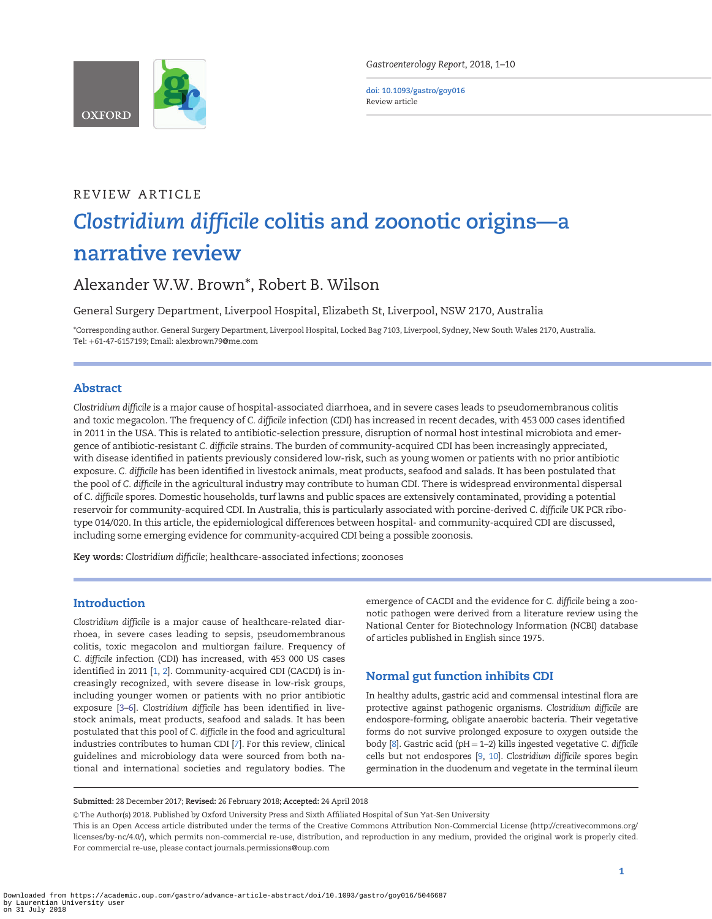<span id="page-0-0"></span>

Gastroenterology Report, 2018, 1–10

doi: 10.1093/gastro/goy016 Review article

# REVIEW ARTICLE Clostridium difficile colitis and zoonotic origins—a narrative review

# Alexander W.W. Brown\*, Robert B. Wilson

General Surgery Department, Liverpool Hospital, Elizabeth St, Liverpool, NSW 2170, Australia

\*Corresponding author. General Surgery Department, Liverpool Hospital, Locked Bag 7103, Liverpool, Sydney, New South Wales 2170, Australia. Tel: þ61-47-6157199; Email: alexbrown79@me.com

# Abstract

Clostridium difficile is a major cause of hospital-associated diarrhoea, and in severe cases leads to pseudomembranous colitis and toxic megacolon. The frequency of C. difficile infection (CDI) has increased in recent decades, with 453 000 cases identified in 2011 in the USA. This is related to antibiotic-selection pressure, disruption of normal host intestinal microbiota and emergence of antibiotic-resistant C. difficile strains. The burden of community-acquired CDI has been increasingly appreciated, with disease identified in patients previously considered low-risk, such as young women or patients with no prior antibiotic exposure. C. difficile has been identified in livestock animals, meat products, seafood and salads. It has been postulated that the pool of C. difficile in the agricultural industry may contribute to human CDI. There is widespread environmental dispersal of C. difficile spores. Domestic households, turf lawns and public spaces are extensively contaminated, providing a potential reservoir for community-acquired CDI. In Australia, this is particularly associated with porcine-derived C. difficile UK PCR ribotype 014/020. In this article, the epidemiological differences between hospital- and community-acquired CDI are discussed, including some emerging evidence for community-acquired CDI being a possible zoonosis.

Key words: Clostridium difficile; healthcare-associated infections; zoonoses

## **Introduction**

Clostridium difficile is a major cause of healthcare-related diarrhoea, in severe cases leading to sepsis, pseudomembranous colitis, toxic megacolon and multiorgan failure. Frequency of C. difficile infection (CDI) has increased, with 453 000 US cases identified in 2011 [[1,](#page-6-0) [2](#page-6-0)]. Community-acquired CDI (CACDI) is increasingly recognized, with severe disease in low-risk groups, including younger women or patients with no prior antibiotic exposure [[3–6\]](#page-6-0). Clostridium difficile has been identified in livestock animals, meat products, seafood and salads. It has been postulated that this pool of C. difficile in the food and agricultural industries contributes to human CDI [[7\]](#page-6-0). For this review, clinical guidelines and microbiology data were sourced from both national and international societies and regulatory bodies. The emergence of CACDI and the evidence for C. difficile being a zoonotic pathogen were derived from a literature review using the National Center for Biotechnology Information (NCBI) database of articles published in English since 1975.

# Normal gut function inhibits CDI

In healthy adults, gastric acid and commensal intestinal flora are protective against pathogenic organisms. Clostridium difficile are endospore-forming, obligate anaerobic bacteria. Their vegetative forms do not survive prolonged exposure to oxygen outside the body  $[8]$  $[8]$ . Gastric acid (pH = 1–2) kills ingested vegetative C. difficile cells but not endospores [\[9](#page-6-0), [10\]](#page-6-0). Clostridium difficile spores begin germination in the duodenum and vegetate in the terminal ileum

Submitted: 28 December 2017; Revised: 26 February 2018; Accepted: 24 April 2018

 $\circ$  The Author(s) 2018. Published by Oxford University Press and Sixth Affiliated Hospital of Sun Yat-Sen University

This is an Open Access article distributed under the terms of the Creative Commons Attribution Non-Commercial License (http://creativecommons.org/ licenses/by-nc/4.0/), which permits non-commercial re-use, distribution, and reproduction in any medium, provided the original work is properly cited. For commercial re-use, please contact journals.permissions@oup.com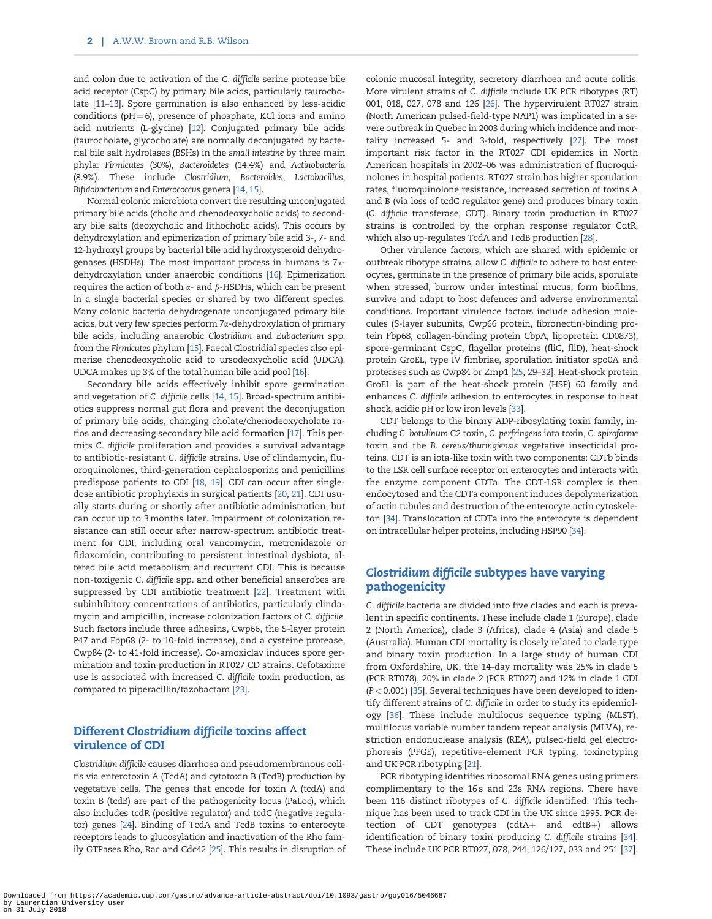<span id="page-1-0"></span>and colon due to activation of the C. difficile serine protease bile acid receptor (CspC) by primary bile acids, particularly taurocholate [\[11–13](#page-6-0)]. Spore germination is also enhanced by less-acidic conditions ( $pH = 6$ ), presence of phosphate, KCl ions and amino acid nutrients (L-glycine) [[12\]](#page-6-0). Conjugated primary bile acids (taurocholate, glycocholate) are normally deconjugated by bacterial bile salt hydrolases (BSHs) in the small intestine by three main phyla: Firmicutes (30%), Bacteroidetes (14.4%) and Actinobacteria (8.9%). These include Clostridium, Bacteroides, Lactobacillus, Bifidobacterium and Enterococcus genera [[14,](#page-6-0) [15\]](#page-6-0).

Normal colonic microbiota convert the resulting unconjugated primary bile acids (cholic and chenodeoxycholic acids) to secondary bile salts (deoxycholic and lithocholic acids). This occurs by dehydroxylation and epimerization of primary bile acid 3-, 7- and 12-hydroxyl groups by bacterial bile acid hydroxysteroid dehydrogenases (HSDHs). The most important process in humans is  $7\alpha$ dehydroxylation under anaerobic conditions [[16\]](#page-7-0). Epimerization requires the action of both  $\alpha$ - and  $\beta$ -HSDHs, which can be present in a single bacterial species or shared by two different species. Many colonic bacteria dehydrogenate unconjugated primary bile acids, but very few species perform 7x-dehydroxylation of primary bile acids, including anaerobic Clostridium and Eubacterium spp. from the Firmicutes phylum [\[15](#page-6-0)]. Faecal Clostridial species also epimerize chenodeoxycholic acid to ursodeoxycholic acid (UDCA). UDCA makes up 3% of the total human bile acid pool [[16\]](#page-7-0).

Secondary bile acids effectively inhibit spore germination and vegetation of C. difficile cells [[14,](#page-6-0) [15](#page-6-0)]. Broad-spectrum antibiotics suppress normal gut flora and prevent the deconjugation of primary bile acids, changing cholate/chenodeoxycholate ratios and decreasing secondary bile acid formation [\[17\]](#page-7-0). This permits C. difficile proliferation and provides a survival advantage to antibiotic-resistant C. difficile strains. Use of clindamycin, fluoroquinolones, third-generation cephalosporins and penicillins predispose patients to CDI [[18](#page-7-0), [19](#page-7-0)]. CDI can occur after singledose antibiotic prophylaxis in surgical patients [[20,](#page-7-0) [21](#page-7-0)]. CDI usually starts during or shortly after antibiotic administration, but can occur up to 3 months later. Impairment of colonization resistance can still occur after narrow-spectrum antibiotic treatment for CDI, including oral vancomycin, metronidazole or fidaxomicin, contributing to persistent intestinal dysbiota, altered bile acid metabolism and recurrent CDI. This is because non-toxigenic C. difficile spp. and other beneficial anaerobes are suppressed by CDI antibiotic treatment [[22\]](#page-7-0). Treatment with subinhibitory concentrations of antibiotics, particularly clindamycin and ampicillin, increase colonization factors of C. difficile. Such factors include three adhesins, Cwp66, the S-layer protein P47 and Fbp68 (2- to 10-fold increase), and a cysteine protease, Cwp84 (2- to 41-fold increase). Co-amoxiclav induces spore germination and toxin production in RT027 CD strains. Cefotaxime use is associated with increased C. difficile toxin production, as compared to piperacillin/tazobactam [\[23\]](#page-7-0).

# Different Clostridium difficile toxins affect virulence of CDI

Clostridium difficile causes diarrhoea and pseudomembranous colitis via enterotoxin A (TcdA) and cytotoxin B (TcdB) production by vegetative cells. The genes that encode for toxin A (tcdA) and toxin B (tcdB) are part of the pathogenicity locus (PaLoc), which also includes tcdR (positive regulator) and tcdC (negative regulator) genes [\[24](#page-7-0)]. Binding of TcdA and TcdB toxins to enterocyte receptors leads to glucosylation and inactivation of the Rho family GTPases Rho, Rac and Cdc42 [[25\]](#page-7-0). This results in disruption of colonic mucosal integrity, secretory diarrhoea and acute colitis. More virulent strains of C. difficile include UK PCR ribotypes (RT) 001, 018, 027, 078 and 126 [[26\]](#page-7-0). The hypervirulent RT027 strain (North American pulsed-field-type NAP1) was implicated in a severe outbreak in Quebec in 2003 during which incidence and mortality increased 5- and 3-fold, respectively [[27\]](#page-7-0). The most important risk factor in the RT027 CDI epidemics in North American hospitals in 2002–06 was administration of fluoroquinolones in hospital patients. RT027 strain has higher sporulation rates, fluoroquinolone resistance, increased secretion of toxins A and B (via loss of tcdC regulator gene) and produces binary toxin (C. difficile transferase, CDT). Binary toxin production in RT027 strains is controlled by the orphan response regulator CdtR, which also up-regulates TcdA and TcdB production [[28\]](#page-7-0).

Other virulence factors, which are shared with epidemic or outbreak ribotype strains, allow C. difficile to adhere to host enterocytes, germinate in the presence of primary bile acids, sporulate when stressed, burrow under intestinal mucus, form biofilms, survive and adapt to host defences and adverse environmental conditions. Important virulence factors include adhesion molecules (S-layer subunits, Cwp66 protein, fibronectin-binding protein Fbp68, collagen-binding protein CbpA, lipoprotein CD0873), spore-germinant CspC, flagellar proteins (fliC, fliD), heat-shock protein GroEL, type IV fimbriae, sporulation initiator spo0A and proteases such as Cwp84 or Zmp1 [[25,](#page-7-0) [29](#page-7-0)–[32\]](#page-7-0). Heat-shock protein GroEL is part of the heat-shock protein (HSP) 60 family and enhances C. difficile adhesion to enterocytes in response to heat shock, acidic pH or low iron levels [\[33](#page-7-0)].

CDT belongs to the binary ADP-ribosylating toxin family, including C. botulinum C2 toxin, C. perfringens iota toxin, C. spiroforme toxin and the B. cereus/thuringiensis vegetative insecticidal proteins. CDT is an iota-like toxin with two components: CDTb binds to the LSR cell surface receptor on enterocytes and interacts with the enzyme component CDTa. The CDT-LSR complex is then endocytosed and the CDTa component induces depolymerization of actin tubules and destruction of the enterocyte actin cytoskeleton [\[34](#page-7-0)]. Translocation of CDTa into the enterocyte is dependent on intracellular helper proteins, including HSP90 [[34\]](#page-7-0).

# Clostridium difficile subtypes have varying pathogenicity

C. difficile bacteria are divided into five clades and each is prevalent in specific continents. These include clade 1 (Europe), clade 2 (North America), clade 3 (Africa), clade 4 (Asia) and clade 5 (Australia). Human CDI mortality is closely related to clade type and binary toxin production. In a large study of human CDI from Oxfordshire, UK, the 14-day mortality was 25% in clade 5 (PCR RT078), 20% in clade 2 (PCR RT027) and 12% in clade 1 CDI (P < 0.001) [\[35\]](#page-7-0). Several techniques have been developed to identify different strains of C. difficile in order to study its epidemiology [\[36](#page-7-0)]. These include multilocus sequence typing (MLST), multilocus variable number tandem repeat analysis (MLVA), restriction endonuclease analysis (REA), pulsed-field gel electrophoresis (PFGE), repetitive-element PCR typing, toxinotyping and UK PCR ribotyping [[21](#page-7-0)].

PCR ribotyping identifies ribosomal RNA genes using primers complimentary to the 16 s and 23s RNA regions. There have been 116 distinct ribotypes of C. difficile identified. This technique has been used to track CDI in the UK since 1995. PCR detection of CDT genotypes (cdtA $+$  and cdtB $+$ ) allows identification of binary toxin producing C. difficile strains [\[34\]](#page-7-0). These include UK PCR RT027, 078, 244, 126/127, 033 and 251 [\[37\]](#page-7-0).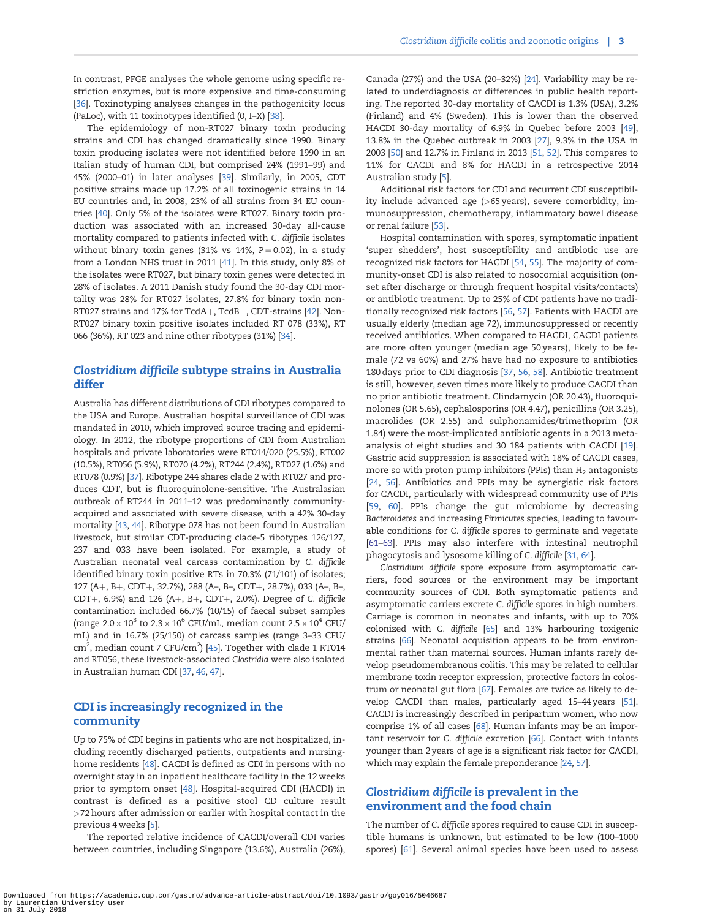<span id="page-2-0"></span>In contrast, PFGE analyses the whole genome using specific restriction enzymes, but is more expensive and time-consuming [\[36\]](#page-7-0). Toxinotyping analyses changes in the pathogenicity locus (PaLoc), with 11 toxinotypes identified (0, I–X) [\[38\]](#page-7-0).

The epidemiology of non-RT027 binary toxin producing strains and CDI has changed dramatically since 1990. Binary toxin producing isolates were not identified before 1990 in an Italian study of human CDI, but comprised 24% (1991–99) and 45% (2000–01) in later analyses [[39\]](#page-7-0). Similarly, in 2005, CDT positive strains made up 17.2% of all toxinogenic strains in 14 EU countries and, in 2008, 23% of all strains from 34 EU countries [\[40\]](#page-7-0). Only 5% of the isolates were RT027. Binary toxin production was associated with an increased 30-day all-cause mortality compared to patients infected with C. difficile isolates without binary toxin genes (31% vs 14%,  $P = 0.02$ ), in a study from a London NHS trust in 2011 [\[41](#page-7-0)]. In this study, only 8% of the isolates were RT027, but binary toxin genes were detected in 28% of isolates. A 2011 Danish study found the 30-day CDI mortality was 28% for RT027 isolates, 27.8% for binary toxin non-RT027 strains and 17% for TcdA+, TcdB+, CDT-strains  $[42]$  $[42]$ . Non-RT027 binary toxin positive isolates included RT 078 (33%), RT 066 (36%), RT 023 and nine other ribotypes (31%) [[34\]](#page-7-0).

## Clostridium difficile subtype strains in Australia differ

Australia has different distributions of CDI ribotypes compared to the USA and Europe. Australian hospital surveillance of CDI was mandated in 2010, which improved source tracing and epidemiology. In 2012, the ribotype proportions of CDI from Australian hospitals and private laboratories were RT014/020 (25.5%), RT002 (10.5%), RT056 (5.9%), RT070 (4.2%), RT244 (2.4%), RT027 (1.6%) and RT078 (0.9%) [[37\]](#page-7-0). Ribotype 244 shares clade 2 with RT027 and produces CDT, but is fluoroquinolone-sensitive. The Australasian outbreak of RT244 in 2011–12 was predominantly communityacquired and associated with severe disease, with a 42% 30-day mortality [\[43](#page-7-0), [44\]](#page-7-0). Ribotype 078 has not been found in Australian livestock, but similar CDT-producing clade-5 ribotypes 126/127, 237 and 033 have been isolated. For example, a study of Australian neonatal veal carcass contamination by C. difficile identified binary toxin positive RTs in 70.3% (71/101) of isolates; 127 (A+, B+, CDT+, 32.7%), 288 (A-, B-, CDT+, 28.7%), 033 (A-, B-, CDT+, 6.9%) and 126 (A+, B+, CDT+, 2.0%). Degree of C. difficile contamination included 66.7% (10/15) of faecal subset samples (range 2.0  $\times$  10 $^3$  to 2.3  $\times$  10 $^6$  CFU/mL, median count 2.5  $\times$  10 $^4$  CFU/ mL) and in 16.7% (25/150) of carcass samples (range 3–33 CFU/ cm<sup>2</sup>, median count 7 CFU/cm<sup>2</sup>) [\[45](#page-7-0)]. Together with clade 1 RT014 and RT056, these livestock-associated Clostridia were also isolated in Australian human CDI [[37,](#page-7-0) [46,](#page-7-0) [47\]](#page-7-0).

# CDI is increasingly recognized in the community

Up to 75% of CDI begins in patients who are not hospitalized, including recently discharged patients, outpatients and nursinghome residents [[48\]](#page-7-0). CACDI is defined as CDI in persons with no overnight stay in an inpatient healthcare facility in the 12 weeks prior to symptom onset [\[48\]](#page-7-0). Hospital-acquired CDI (HACDI) in contrast is defined as a positive stool CD culture result >72 hours after admission or earlier with hospital contact in the previous 4 weeks [\[5](#page-6-0)].

The reported relative incidence of CACDI/overall CDI varies between countries, including Singapore (13.6%), Australia (26%),

Canada (27%) and the USA (20–32%) [[24](#page-7-0)]. Variability may be related to underdiagnosis or differences in public health reporting. The reported 30-day mortality of CACDI is 1.3% (USA), 3.2% (Finland) and 4% (Sweden). This is lower than the observed HACDI 30-day mortality of 6.9% in Quebec before 2003 [\[49\]](#page-7-0), 13.8% in the Quebec outbreak in 2003 [\[27\]](#page-7-0), 9.3% in the USA in 2003 [\[50\]](#page-7-0) and 12.7% in Finland in 2013 [\[51](#page-7-0), [52\]](#page-7-0). This compares to 11% for CACDI and 8% for HACDI in a retrospective 2014 Australian study [\[5](#page-6-0)].

Additional risk factors for CDI and recurrent CDI susceptibility include advanced age (>65 years), severe comorbidity, immunosuppression, chemotherapy, inflammatory bowel disease or renal failure [\[53\]](#page-7-0).

Hospital contamination with spores, symptomatic inpatient 'super shedders', host susceptibility and antibiotic use are recognized risk factors for HACDI [[54](#page-7-0), [55\]](#page-7-0). The majority of community-onset CDI is also related to nosocomial acquisition (onset after discharge or through frequent hospital visits/contacts) or antibiotic treatment. Up to 25% of CDI patients have no traditionally recognized risk factors [[56](#page-7-0), [57\]](#page-8-0). Patients with HACDI are usually elderly (median age 72), immunosuppressed or recently received antibiotics. When compared to HACDI, CACDI patients are more often younger (median age 50 years), likely to be female (72 vs 60%) and 27% have had no exposure to antibiotics 180 days prior to CDI diagnosis [\[37,](#page-7-0) [56](#page-7-0), [58](#page-8-0)]. Antibiotic treatment is still, however, seven times more likely to produce CACDI than no prior antibiotic treatment. Clindamycin (OR 20.43), fluoroquinolones (OR 5.65), cephalosporins (OR 4.47), penicillins (OR 3.25), macrolides (OR 2.55) and sulphonamides/trimethoprim (OR 1.84) were the most-implicated antibiotic agents in a 2013 metaanalysis of eight studies and 30 184 patients with CACDI [\[19\]](#page-7-0). Gastric acid suppression is associated with 18% of CACDI cases, more so with proton pump inhibitors (PPIs) than  $H_2$  antagonists [\[24,](#page-7-0) [56](#page-7-0)]. Antibiotics and PPIs may be synergistic risk factors for CACDI, particularly with widespread community use of PPIs [\[59,](#page-8-0) [60](#page-8-0)]. PPIs change the gut microbiome by decreasing Bacteroidetes and increasing Firmicutes species, leading to favourable conditions for C. difficile spores to germinate and vegetate [\[61–63\]](#page-8-0). PPIs may also interfere with intestinal neutrophil phagocytosis and lysosome killing of C. difficile [[31](#page-7-0), [64](#page-8-0)].

Clostridium difficile spore exposure from asymptomatic carriers, food sources or the environment may be important community sources of CDI. Both symptomatic patients and asymptomatic carriers excrete C. difficile spores in high numbers. Carriage is common in neonates and infants, with up to 70% colonized with C. difficile [\[65](#page-8-0)] and 13% harbouring toxigenic strains [[66\]](#page-8-0). Neonatal acquisition appears to be from environmental rather than maternal sources. Human infants rarely develop pseudomembranous colitis. This may be related to cellular membrane toxin receptor expression, protective factors in colostrum or neonatal gut flora [\[67](#page-8-0)]. Females are twice as likely to develop CACDI than males, particularly aged 15–44 years [[51\]](#page-7-0). CACDI is increasingly described in peripartum women, who now comprise 1% of all cases [[68\]](#page-8-0). Human infants may be an important reservoir for C. difficile excretion [\[66](#page-8-0)]. Contact with infants younger than 2 years of age is a significant risk factor for CACDI, which may explain the female preponderance [[24,](#page-7-0) [57\]](#page-8-0).

# Clostridium difficile is prevalent in the environment and the food chain

The number of C. difficile spores required to cause CDI in susceptible humans is unknown, but estimated to be low (100–1000 spores) [\[61](#page-8-0)]. Several animal species have been used to assess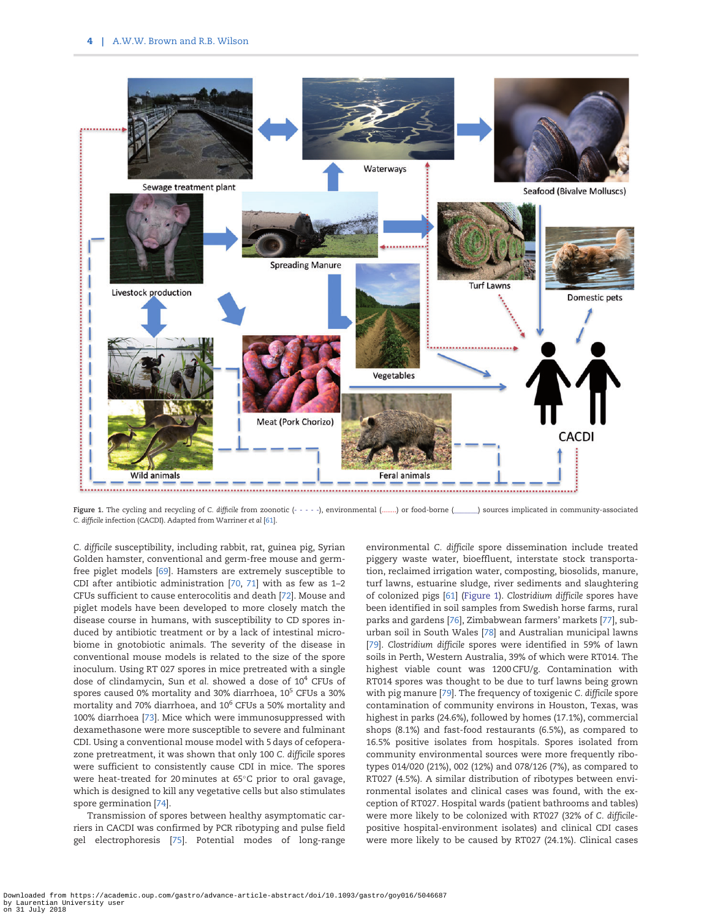<span id="page-3-0"></span>

Figure 1. The cycling and recycling of C. difficile from zoonotic (- - - -), environmental (........) or food-borne (\_\_\_\_\_) sources implicated in community-associated C. difficile infection (CACDI). Adapted from Warriner et al [[61](#page-8-0)].

C. difficile susceptibility, including rabbit, rat, guinea pig, Syrian Golden hamster, conventional and germ-free mouse and germfree piglet models [[69\]](#page-8-0). Hamsters are extremely susceptible to CDI after antibiotic administration [[70,](#page-8-0) [71](#page-8-0)] with as few as 1–2 CFUs sufficient to cause enterocolitis and death [\[72\]](#page-8-0). Mouse and piglet models have been developed to more closely match the disease course in humans, with susceptibility to CD spores induced by antibiotic treatment or by a lack of intestinal microbiome in gnotobiotic animals. The severity of the disease in conventional mouse models is related to the size of the spore inoculum. Using RT 027 spores in mice pretreated with a single dose of clindamycin, Sun et al. showed a dose of  $10<sup>4</sup>$  CFUs of spores caused 0% mortality and 30% diarrhoea, 10<sup>5</sup> CFUs a 30% mortality and 70% diarrhoea, and  $10^6$  CFUs a 50% mortality and 100% diarrhoea [\[73\]](#page-8-0). Mice which were immunosuppressed with dexamethasone were more susceptible to severe and fulminant CDI. Using a conventional mouse model with 5 days of cefoperazone pretreatment, it was shown that only 100 C. difficile spores were sufficient to consistently cause CDI in mice. The spores were heat-treated for 20 minutes at 65°C prior to oral gavage, which is designed to kill any vegetative cells but also stimulates spore germination [[74\]](#page-8-0).

Transmission of spores between healthy asymptomatic carriers in CACDI was confirmed by PCR ribotyping and pulse field gel electrophoresis [\[75\]](#page-8-0). Potential modes of long-range

environmental C. difficile spore dissemination include treated piggery waste water, bioeffluent, interstate stock transportation, reclaimed irrigation water, composting, biosolids, manure, turf lawns, estuarine sludge, river sediments and slaughtering of colonized pigs [\[61\]](#page-8-0) (Figure 1). Clostridium difficile spores have been identified in soil samples from Swedish horse farms, rural parks and gardens [[76](#page-8-0)], Zimbabwean farmers' markets [\[77\]](#page-8-0), suburban soil in South Wales [[78\]](#page-8-0) and Australian municipal lawns [\[79\]](#page-8-0). Clostridium difficile spores were identified in 59% of lawn soils in Perth, Western Australia, 39% of which were RT014. The highest viable count was 1200 CFU/g. Contamination with RT014 spores was thought to be due to turf lawns being grown with pig manure [\[79\]](#page-8-0). The frequency of toxigenic C. difficile spore contamination of community environs in Houston, Texas, was highest in parks (24.6%), followed by homes (17.1%), commercial shops (8.1%) and fast-food restaurants (6.5%), as compared to 16.5% positive isolates from hospitals. Spores isolated from community environmental sources were more frequently ribotypes 014/020 (21%), 002 (12%) and 078/126 (7%), as compared to RT027 (4.5%). A similar distribution of ribotypes between environmental isolates and clinical cases was found, with the exception of RT027. Hospital wards (patient bathrooms and tables) were more likely to be colonized with RT027 (32% of C. difficilepositive hospital-environment isolates) and clinical CDI cases were more likely to be caused by RT027 (24.1%). Clinical cases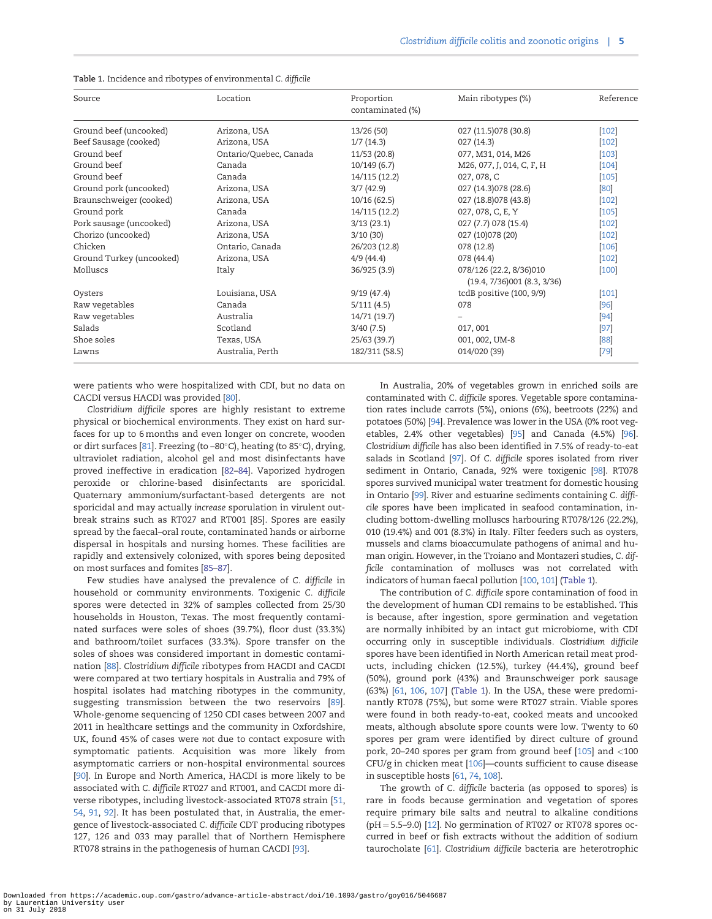| Source                   | Location               | Proportion<br>contaminated (%) | Main ribotypes (%)                                     | Reference |
|--------------------------|------------------------|--------------------------------|--------------------------------------------------------|-----------|
| Ground beef (uncooked)   | Arizona, USA           | 13/26(50)                      | 027 (11.5) 078 (30.8)                                  | $[102]$   |
| Beef Sausage (cooked)    | Arizona, USA           | 1/7(14.3)                      | 027(14.3)                                              | $[102]$   |
| Ground beef              | Ontario/Quebec, Canada | 11/53 (20.8)                   | 077, M31, 014, M26                                     | $[103]$   |
| Ground beef              | Canada                 | 10/149(6.7)                    | M26, 077, J, 014, C, F, H                              | $[104]$   |
| Ground beef              | Canada                 | 14/115 (12.2)                  | 027, 078, C                                            | $[105]$   |
| Ground pork (uncooked)   | Arizona, USA           | 3/7(42.9)                      | 027 (14.3) 078 (28.6)                                  | [80]      |
| Braunschweiger (cooked)  | Arizona, USA           | 10/16(62.5)                    | 027 (18.8) 078 (43.8)                                  | $[102]$   |
| Ground pork              | Canada                 | 14/115 (12.2)                  | 027, 078, C, E, Y                                      | $[105]$   |
| Pork sausage (uncooked)  | Arizona, USA           | 3/13(23.1)                     | 027 (7.7) 078 (15.4)                                   | $[102]$   |
| Chorizo (uncooked)       | Arizona, USA           | 3/10(30)                       | 027 (10) 078 (20)                                      | $[102]$   |
| Chicken                  | Ontario, Canada        | 26/203 (12.8)                  | 078(12.8)                                              | $[106]$   |
| Ground Turkey (uncooked) | Arizona, USA           | 4/9(44.4)                      | 078(44.4)                                              | $[102]$   |
| Molluscs                 | Italy                  | 36/925 (3.9)                   | 078/126 (22.2, 8/36)010<br>(19.4, 7/36)001 (8.3, 3/36) | $[100]$   |
| Oysters                  | Louisiana, USA         | 9/19(47.4)                     | tcdB positive (100, 9/9)                               | $[101]$   |
| Raw vegetables           | Canada                 | 5/111(4.5)                     | 078                                                    | [96]      |
| Raw vegetables           | Australia              | 14/71 (19.7)                   |                                                        | [94]      |
| Salads                   | Scotland               | 3/40(7.5)                      | 017,001                                                | $[97]$    |
| Shoe soles               | Texas, USA             | 25/63 (39.7)                   | 001, 002, UM-8                                         | [88]      |
| Lawns                    | Australia, Perth       | 182/311 (58.5)                 | 014/020 (39)                                           | [79]      |

#### <span id="page-4-0"></span>Table 1. Incidence and ribotypes of environmental C. difficile

were patients who were hospitalized with CDI, but no data on CACDI versus HACDI was provided [\[80\]](#page-8-0).

Clostridium difficile spores are highly resistant to extreme physical or biochemical environments. They exist on hard surfaces for up to 6 months and even longer on concrete, wooden or dirt surfaces [\[81](#page-8-0)]. Freezing (to  $-80^{\circ}$ C), heating (to 85 $^{\circ}$ C), drying, ultraviolet radiation, alcohol gel and most disinfectants have proved ineffective in eradication [\[82–84](#page-8-0)]. Vaporized hydrogen peroxide or chlorine-based disinfectants are sporicidal. Quaternary ammonium/surfactant-based detergents are not sporicidal and may actually increase sporulation in virulent outbreak strains such as RT027 and RT001 [85]. Spores are easily spread by the faecal–oral route, contaminated hands or airborne dispersal in hospitals and nursing homes. These facilities are rapidly and extensively colonized, with spores being deposited on most surfaces and fomites [\[85–87\]](#page-8-0).

Few studies have analysed the prevalence of C. difficile in household or community environments. Toxigenic C. difficile spores were detected in 32% of samples collected from 25/30 households in Houston, Texas. The most frequently contaminated surfaces were soles of shoes (39.7%), floor dust (33.3%) and bathroom/toilet surfaces (33.3%). Spore transfer on the soles of shoes was considered important in domestic contamination [[88](#page-8-0)]. Clostridium difficile ribotypes from HACDI and CACDI were compared at two tertiary hospitals in Australia and 79% of hospital isolates had matching ribotypes in the community, suggesting transmission between the two reservoirs [\[89\]](#page-8-0). Whole-genome sequencing of 1250 CDI cases between 2007 and 2011 in healthcare settings and the community in Oxfordshire, UK, found 45% of cases were not due to contact exposure with symptomatic patients. Acquisition was more likely from asymptomatic carriers or non-hospital environmental sources [\[90\]](#page-8-0). In Europe and North America, HACDI is more likely to be associated with C. difficile RT027 and RT001, and CACDI more diverse ribotypes, including livestock-associated RT078 strain [[51](#page-7-0), [54](#page-7-0), [91,](#page-8-0) [92\]](#page-8-0). It has been postulated that, in Australia, the emergence of livestock-associated C. difficile CDT producing ribotypes 127, 126 and 033 may parallel that of Northern Hemisphere RT078 strains in the pathogenesis of human CACDI [[93\]](#page-8-0).

In Australia, 20% of vegetables grown in enriched soils are contaminated with C. difficile spores. Vegetable spore contamination rates include carrots (5%), onions (6%), beetroots (22%) and potatoes (50%) [[94\]](#page-8-0). Prevalence was lower in the USA (0% root vegetables, 2.4% other vegetables) [\[95](#page-8-0)] and Canada (4.5%) [[96\]](#page-9-0). Clostridium difficile has also been identified in 7.5% of ready-to-eat salads in Scotland [[97\]](#page-9-0). Of C. difficile spores isolated from river sediment in Ontario, Canada, 92% were toxigenic [[98\]](#page-9-0). RT078 spores survived municipal water treatment for domestic housing in Ontario [\[99\]](#page-9-0). River and estuarine sediments containing C. difficile spores have been implicated in seafood contamination, including bottom-dwelling molluscs harbouring RT078/126 (22.2%), 010 (19.4%) and 001 (8.3%) in Italy. Filter feeders such as oysters, mussels and clams bioaccumulate pathogens of animal and human origin. However, in the Troiano and Montazeri studies, C. difficile contamination of molluscs was not correlated with indicators of human faecal pollution [[100,](#page-9-0) [101\]](#page-9-0) (Table 1).

The contribution of C. difficile spore contamination of food in the development of human CDI remains to be established. This is because, after ingestion, spore germination and vegetation are normally inhibited by an intact gut microbiome, with CDI occurring only in susceptible individuals. Clostridium difficile spores have been identified in North American retail meat products, including chicken (12.5%), turkey (44.4%), ground beef (50%), ground pork (43%) and Braunschweiger pork sausage (63%) [[61,](#page-8-0) [106](#page-9-0), [107\]](#page-9-0) (Table 1). In the USA, these were predominantly RT078 (75%), but some were RT027 strain. Viable spores were found in both ready-to-eat, cooked meats and uncooked meats, although absolute spore counts were low. Twenty to 60 spores per gram were identified by direct culture of ground pork, 20–240 spores per gram from ground beef [[105](#page-9-0)] and <100 CFU/g in chicken meat [[106](#page-9-0)]—counts sufficient to cause disease in susceptible hosts [\[61,](#page-8-0) [74,](#page-8-0) [108](#page-9-0)].

The growth of C. difficile bacteria (as opposed to spores) is rare in foods because germination and vegetation of spores require primary bile salts and neutral to alkaline conditions ( $pH = 5.5-9.0$ ) [[12\]](#page-6-0). No germination of RT027 or RT078 spores occurred in beef or fish extracts without the addition of sodium taurocholate [\[61\]](#page-8-0). Clostridium difficile bacteria are heterotrophic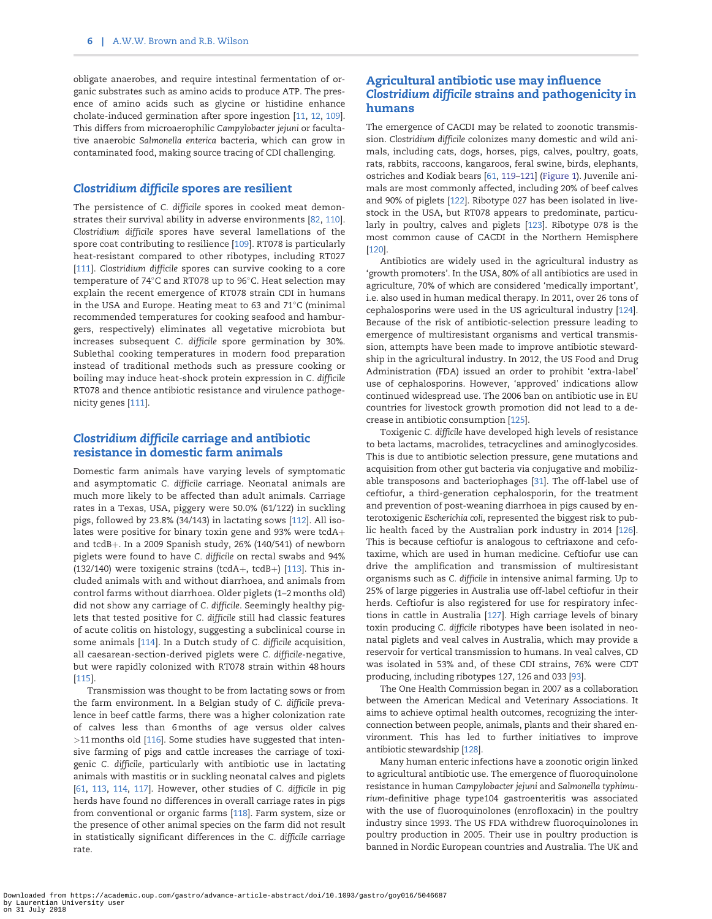<span id="page-5-0"></span>obligate anaerobes, and require intestinal fermentation of organic substrates such as amino acids to produce ATP. The presence of amino acids such as glycine or histidine enhance cholate-induced germination after spore ingestion [[11,](#page-6-0) [12,](#page-6-0) [109\]](#page-9-0). This differs from microaerophilic Campylobacter jejuni or facultative anaerobic Salmonella enterica bacteria, which can grow in contaminated food, making source tracing of CDI challenging.

#### Clostridium difficile spores are resilient

The persistence of C. difficile spores in cooked meat demonstrates their survival ability in adverse environments [\[82,](#page-8-0) [110\]](#page-9-0). Clostridium difficile spores have several lamellations of the spore coat contributing to resilience [[109](#page-9-0)]. RT078 is particularly heat-resistant compared to other ribotypes, including RT027 [[111](#page-9-0)]. Clostridium difficile spores can survive cooking to a core temperature of 74°C and RT078 up to 96°C. Heat selection may explain the recent emergence of RT078 strain CDI in humans in the USA and Europe. Heating meat to 63 and  $71^{\circ}$ C (minimal recommended temperatures for cooking seafood and hamburgers, respectively) eliminates all vegetative microbiota but increases subsequent C. difficile spore germination by 30%. Sublethal cooking temperatures in modern food preparation instead of traditional methods such as pressure cooking or boiling may induce heat-shock protein expression in C. difficile RT078 and thence antibiotic resistance and virulence pathogenicity genes [[111\]](#page-9-0).

# Clostridium difficile carriage and antibiotic resistance in domestic farm animals

Domestic farm animals have varying levels of symptomatic and asymptomatic C. difficile carriage. Neonatal animals are much more likely to be affected than adult animals. Carriage rates in a Texas, USA, piggery were 50.0% (61/122) in suckling pigs, followed by 23.8% (34/143) in lactating sows [[112\]](#page-9-0). All isolates were positive for binary toxin gene and 93% were  $tcdA+$ and  $tcdB+$ . In a 2009 Spanish study, 26% (140/541) of newborn piglets were found to have C. difficile on rectal swabs and 94% (132/140) were toxigenic strains (tcdA+, tcdB+) [[113\]](#page-9-0). This included animals with and without diarrhoea, and animals from control farms without diarrhoea. Older piglets (1–2 months old) did not show any carriage of C. difficile. Seemingly healthy piglets that tested positive for C. difficile still had classic features of acute colitis on histology, suggesting a subclinical course in some animals [[114\]](#page-9-0). In a Dutch study of C. difficile acquisition, all caesarean-section-derived piglets were C. difficile-negative, but were rapidly colonized with RT078 strain within 48 hours [[115](#page-9-0)].

Transmission was thought to be from lactating sows or from the farm environment. In a Belgian study of C. difficile prevalence in beef cattle farms, there was a higher colonization rate of calves less than 6 months of age versus older calves >11 months old [\[116\]](#page-9-0). Some studies have suggested that intensive farming of pigs and cattle increases the carriage of toxigenic C. difficile, particularly with antibiotic use in lactating animals with mastitis or in suckling neonatal calves and piglets [\[61,](#page-8-0) [113,](#page-9-0) [114,](#page-9-0) [117\]](#page-9-0). However, other studies of C. difficile in pig herds have found no differences in overall carriage rates in pigs from conventional or organic farms [[118](#page-9-0)]. Farm system, size or the presence of other animal species on the farm did not result in statistically significant differences in the C. difficile carriage rate.

# Agricultural antibiotic use may influence Clostridium difficile strains and pathogenicity in humans

The emergence of CACDI may be related to zoonotic transmission. Clostridium difficile colonizes many domestic and wild animals, including cats, dogs, horses, pigs, calves, poultry, goats, rats, rabbits, raccoons, kangaroos, feral swine, birds, elephants, ostriches and Kodiak bears [[61](#page-8-0), [119–121](#page-9-0)] ([Figure 1](#page-3-0)). Juvenile animals are most commonly affected, including 20% of beef calves and 90% of piglets [\[122\]](#page-9-0). Ribotype 027 has been isolated in livestock in the USA, but RT078 appears to predominate, particularly in poultry, calves and piglets [\[123\]](#page-9-0). Ribotype 078 is the most common cause of CACDI in the Northern Hemisphere [\[120\]](#page-9-0).

Antibiotics are widely used in the agricultural industry as 'growth promoters'. In the USA, 80% of all antibiotics are used in agriculture, 70% of which are considered 'medically important', i.e. also used in human medical therapy. In 2011, over 26 tons of cephalosporins were used in the US agricultural industry [\[124\]](#page-9-0). Because of the risk of antibiotic-selection pressure leading to emergence of multiresistant organisms and vertical transmission, attempts have been made to improve antibiotic stewardship in the agricultural industry. In 2012, the US Food and Drug Administration (FDA) issued an order to prohibit 'extra-label' use of cephalosporins. However, 'approved' indications allow continued widespread use. The 2006 ban on antibiotic use in EU countries for livestock growth promotion did not lead to a decrease in antibiotic consumption [\[125\]](#page-9-0).

Toxigenic C. difficile have developed high levels of resistance to beta lactams, macrolides, tetracyclines and aminoglycosides. This is due to antibiotic selection pressure, gene mutations and acquisition from other gut bacteria via conjugative and mobilizable transposons and bacteriophages [[31\]](#page-7-0). The off-label use of ceftiofur, a third-generation cephalosporin, for the treatment and prevention of post-weaning diarrhoea in pigs caused by enterotoxigenic Escherichia coli, represented the biggest risk to public health faced by the Australian pork industry in 2014 [\[126\]](#page-9-0). This is because ceftiofur is analogous to ceftriaxone and cefotaxime, which are used in human medicine. Ceftiofur use can drive the amplification and transmission of multiresistant organisms such as C. difficile in intensive animal farming. Up to 25% of large piggeries in Australia use off-label ceftiofur in their herds. Ceftiofur is also registered for use for respiratory infections in cattle in Australia [\[127\]](#page-9-0). High carriage levels of binary toxin producing C. difficile ribotypes have been isolated in neonatal piglets and veal calves in Australia, which may provide a reservoir for vertical transmission to humans. In veal calves, CD was isolated in 53% and, of these CDI strains, 76% were CDT producing, including ribotypes 127, 126 and 033 [[93](#page-8-0)].

The One Health Commission began in 2007 as a collaboration between the American Medical and Veterinary Associations. It aims to achieve optimal health outcomes, recognizing the interconnection between people, animals, plants and their shared environment. This has led to further initiatives to improve antibiotic stewardship [\[128](#page-9-0)].

Many human enteric infections have a zoonotic origin linked to agricultural antibiotic use. The emergence of fluoroquinolone resistance in human Campylobacter jejuni and Salmonella typhimurium-definitive phage type104 gastroenteritis was associated with the use of fluoroquinolones (enrofloxacin) in the poultry industry since 1993. The US FDA withdrew fluoroquinolones in poultry production in 2005. Their use in poultry production is banned in Nordic European countries and Australia. The UK and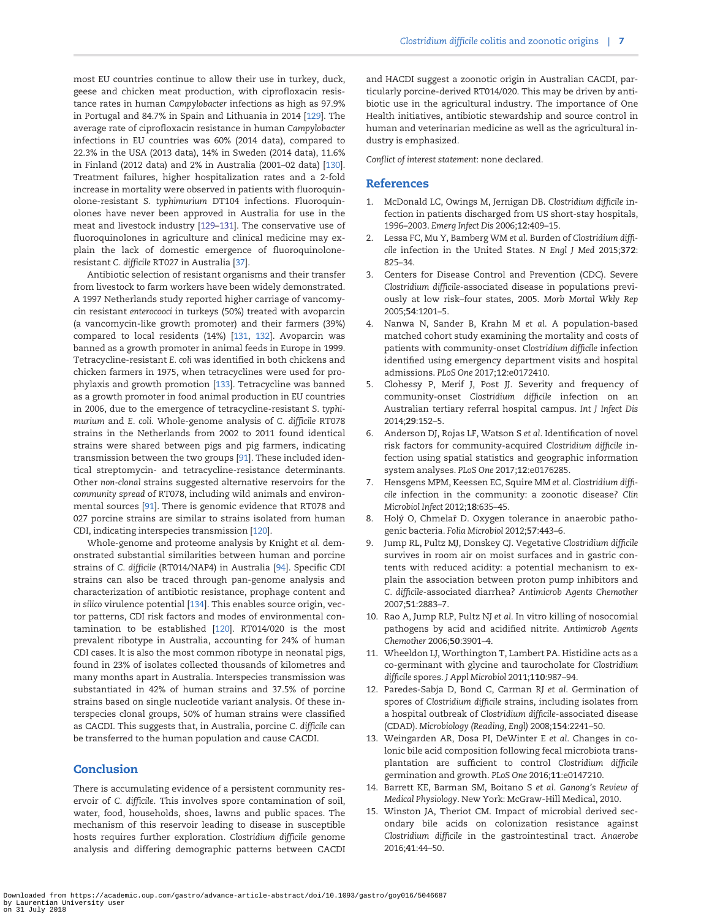<span id="page-6-0"></span>most EU countries continue to allow their use in turkey, duck, geese and chicken meat production, with ciprofloxacin resistance rates in human Campylobacter infections as high as 97.9% in Portugal and 84.7% in Spain and Lithuania in 2014 [[129](#page-9-0)]. The average rate of ciprofloxacin resistance in human Campylobacter infections in EU countries was 60% (2014 data), compared to 22.3% in the USA (2013 data), 14% in Sweden (2014 data), 11.6% in Finland (2012 data) and 2% in Australia (2001–02 data) [\[130\]](#page-9-0). Treatment failures, higher hospitalization rates and a 2-fold increase in mortality were observed in patients with fluoroquinolone-resistant S. typhimurium DT104 infections. Fluoroquinolones have never been approved in Australia for use in the meat and livestock industry [[129](#page-9-0)–[131](#page-9-0)]. The conservative use of fluoroquinolones in agriculture and clinical medicine may explain the lack of domestic emergence of fluoroquinoloneresistant C. difficile RT027 in Australia [[37\]](#page-7-0).

Antibiotic selection of resistant organisms and their transfer from livestock to farm workers have been widely demonstrated. A 1997 Netherlands study reported higher carriage of vancomycin resistant enterocooci in turkeys (50%) treated with avoparcin (a vancomycin-like growth promoter) and their farmers (39%) compared to local residents (14%) [[131](#page-9-0), [132](#page-9-0)]. Avoparcin was banned as a growth promoter in animal feeds in Europe in 1999. Tetracycline-resistant E. coli was identified in both chickens and chicken farmers in 1975, when tetracyclines were used for prophylaxis and growth promotion [[133\]](#page-9-0). Tetracycline was banned as a growth promoter in food animal production in EU countries in 2006, due to the emergence of tetracycline-resistant S. typhimurium and E. coli. Whole-genome analysis of C. difficile RT078 strains in the Netherlands from 2002 to 2011 found identical strains were shared between pigs and pig farmers, indicating transmission between the two groups [[91\]](#page-8-0). These included identical streptomycin- and tetracycline-resistance determinants. Other non-clonal strains suggested alternative reservoirs for the community spread of RT078, including wild animals and environmental sources [\[91\]](#page-8-0). There is genomic evidence that RT078 and 027 porcine strains are similar to strains isolated from human CDI, indicating interspecies transmission [[120](#page-9-0)].

Whole-genome and proteome analysis by Knight et al. demonstrated substantial similarities between human and porcine strains of C. difficile (RT014/NAP4) in Australia [[94\]](#page-8-0). Specific CDI strains can also be traced through pan-genome analysis and characterization of antibiotic resistance, prophage content and in silico virulence potential [\[134\]](#page-9-0). This enables source origin, vector patterns, CDI risk factors and modes of environmental contamination to be established [\[120\]](#page-9-0). RT014/020 is the most prevalent ribotype in Australia, accounting for 24% of human CDI cases. It is also the most common ribotype in neonatal pigs, found in 23% of isolates collected thousands of kilometres and many months apart in Australia. Interspecies transmission was substantiated in 42% of human strains and 37.5% of porcine strains based on single nucleotide variant analysis. Of these interspecies clonal groups, 50% of human strains were classified as CACDI. This suggests that, in Australia, porcine C. difficile can be transferred to the human population and cause CACDI.

#### Conclusion

There is accumulating evidence of a persistent community reservoir of C. difficile. This involves spore contamination of soil, water, food, households, shoes, lawns and public spaces. The mechanism of this reservoir leading to disease in susceptible hosts requires further exploration. Clostridium difficile genome analysis and differing demographic patterns between CACDI

and HACDI suggest a zoonotic origin in Australian CACDI, particularly porcine-derived RT014/020. This may be driven by antibiotic use in the agricultural industry. The importance of One Health initiatives, antibiotic stewardship and source control in human and veterinarian medicine as well as the agricultural industry is emphasized.

Conflict of interest statement: none declared.

#### **References**

- [1](#page-0-0). McDonald LC, Owings M, Jernigan DB. Clostridium difficile infection in patients discharged from US short-stay hospitals, 1996–2003. Emerg Infect Dis 2006;12:409–15.
- [2](#page-0-0). Lessa FC, Mu Y, Bamberg WM et al. Burden of Clostridium difficile infection in the United States. N Engl J Med 2015;372: 825–34.
- 3. Centers for Disease Control and Prevention (CDC). Severe Clostridium difficile-associated disease in populations previously at low risk–four states, 2005. Morb Mortal Wkly Rep 2005;54:1201–5.
- 4. Nanwa N, Sander B, Krahn M et al. A population-based matched cohort study examining the mortality and costs of patients with community-onset Clostridium difficile infection identified using emergency department visits and hospital admissions. PLoS One 2017;12:e0172410.
- [5](#page-2-0). Clohessy P, Merif J, Post JJ. Severity and frequency of community-onset Clostridium difficile infection on an Australian tertiary referral hospital campus. Int J Infect Dis 2014;29:152–5.
- 6. Anderson DJ, Rojas LF, Watson S et al. Identification of novel risk factors for community-acquired Clostridium difficile infection using spatial statistics and geographic information system analyses. PLoS One 2017;12:e0176285.
- [7](#page-0-0). Hensgens MPM, Keessen EC, Squire MM et al. Clostridium difficile infection in the community: a zoonotic disease? Clin Microbiol Infect 2012;18:635–45.
- [8](#page-0-0). Holý O, Chmelař D. Oxygen tolerance in anaerobic pathogenic bacteria. Folia Microbiol 2012;57:443–6.
- [9](#page-0-0). Jump RL, Pultz MJ, Donskey CJ. Vegetative Clostridium difficile survives in room air on moist surfaces and in gastric contents with reduced acidity: a potential mechanism to explain the association between proton pump inhibitors and C. difficile-associated diarrhea? Antimicrob Agents Chemother 2007;51:2883–7.
- [10](#page-0-0). Rao A, Jump RLP, Pultz NJ et al. In vitro killing of nosocomial pathogens by acid and acidified nitrite. Antimicrob Agents Chemother 2006;50:3901–4.
- [11](#page-5-0). Wheeldon LJ, Worthington T, Lambert PA. Histidine acts as a co-germinant with glycine and taurocholate for Clostridium difficile spores. J Appl Microbiol 2011;110:987–94.
- [12](#page-1-0). Paredes-Sabja D, Bond C, Carman RJ et al. Germination of spores of Clostridium difficile strains, including isolates from a hospital outbreak of Clostridium difficile-associated disease (CDAD). Microbiology (Reading, Engl) 2008;154:2241–50.
- 13. Weingarden AR, Dosa PI, DeWinter E et al. Changes in colonic bile acid composition following fecal microbiota transplantation are sufficient to control Clostridium difficile germination and growth. PLoS One 2016;11:e0147210.
- [14](#page-1-0). Barrett KE, Barman SM, Boitano S et al. Ganong's Review of Medical Physiology. New York: McGraw-Hill Medical, 2010.
- [15](#page-1-0). Winston JA, Theriot CM. Impact of microbial derived secondary bile acids on colonization resistance against Clostridium difficile in the gastrointestinal tract. Anaerobe 2016;41:44–50.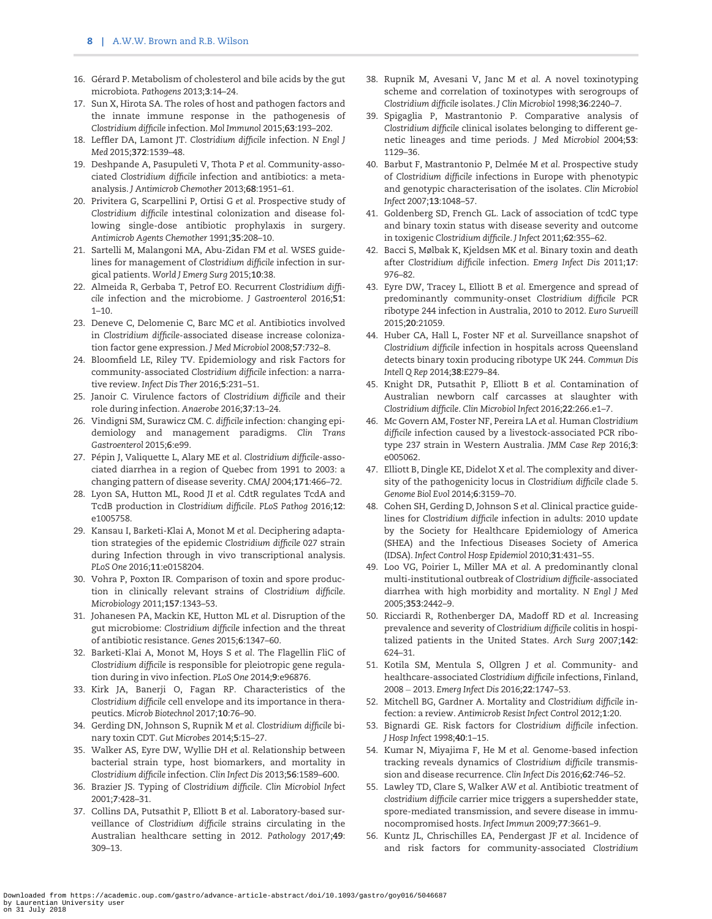- <span id="page-7-0"></span>[16](#page-1-0). Gérard P. Metabolism of cholesterol and bile acids by the gut microbiota. Pathogens 2013;3:14–24.
- [17](#page-1-0). Sun X, Hirota SA. The roles of host and pathogen factors and the innate immune response in the pathogenesis of Clostridium difficile infection. Mol Immunol 2015;63:193–202.
- [18](#page-1-0). Leffler DA, Lamont JT. Clostridium difficile infection. N Engl J Med 2015;372:1539–48.
- [19](#page-1-0). Deshpande A, Pasupuleti V, Thota P et al. Community-associated Clostridium difficile infection and antibiotics: a metaanalysis. J Antimicrob Chemother 2013;68:1951–61.
- [20](#page-1-0). Privitera G, Scarpellini P, Ortisi G et al. Prospective study of Clostridium difficile intestinal colonization and disease following single-dose antibiotic prophylaxis in surgery. Antimicrob Agents Chemother 1991;35:208–10.
- [21](#page-1-0). Sartelli M, Malangoni MA, Abu-Zidan FM et al. WSES guidelines for management of Clostridium difficile infection in surgical patients. World J Emerg Surg 2015;10:38.
- [22](#page-1-0). Almeida R, Gerbaba T, Petrof EO. Recurrent Clostridium difficile infection and the microbiome. J Gastroenterol 2016;51: 1–10.
- [23](#page-1-0). Deneve C, Delomenie C, Barc MC et al. Antibiotics involved in Clostridium difficile-associated disease increase colonization factor gene expression. J Med Microbiol 2008;57:732–8.
- [24](#page-1-0). Bloomfield LE, Riley TV. Epidemiology and risk Factors for community-associated Clostridium difficile infection: a narrative review. Infect Dis Ther 2016;5:231–51.
- [25](#page-1-0). Janoir C. Virulence factors of Clostridium difficile and their role during infection. Anaerobe 2016;37:13–24.
- [26](#page-1-0). Vindigni SM, Surawicz CM. C. difficile infection: changing epidemiology and management paradigms. Clin Trans Gastroenterol 2015;6:e99.
- [27](#page-1-0). Pépin J, Valiquette L, Alary ME et al. Clostridium difficile-associated diarrhea in a region of Quebec from 1991 to 2003: a changing pattern of disease severity. CMAJ 2004;171:466–72.
- [28](#page-1-0). Lyon SA, Hutton ML, Rood JI et al. CdtR regulates TcdA and TcdB production in Clostridium difficile. PLoS Pathog 2016;12: e1005758.
- 29. Kansau I, Barketi-Klai A, Monot M et al. Deciphering adaptation strategies of the epidemic Clostridium difficile 027 strain during Infection through in vivo transcriptional analysis. PLoS One 2016;11:e0158204.
- 30. Vohra P, Poxton IR. Comparison of toxin and spore production in clinically relevant strains of Clostridium difficile. Microbiology 2011;157:1343–53.
- [31](#page-2-0). Johanesen PA, Mackin KE, Hutton ML et al. Disruption of the gut microbiome: Clostridium difficile infection and the threat of antibiotic resistance. Genes 2015;6:1347–60.
- 32. Barketi-Klai A, Monot M, Hoys S et al. The Flagellin FliC of Clostridium difficile is responsible for pleiotropic gene regulation during in vivo infection. PLoS One 2014;9:e96876.
- [33](#page-1-0). Kirk JA, Banerji O, Fagan RP. Characteristics of the Clostridium difficile cell envelope and its importance in therapeutics. Microb Biotechnol 2017;10:76–90.
- [34](#page-1-0). Gerding DN, Johnson S, Rupnik M et al. Clostridium difficile binary toxin CDT. Gut Microbes 2014;5:15–27.
- [35](#page-1-0). Walker AS, Eyre DW, Wyllie DH et al. Relationship between bacterial strain type, host biomarkers, and mortality in Clostridium difficile infection. Clin Infect Dis 2013;56:1589–600.
- [36](#page-1-0). Brazier JS. Typing of Clostridium difficile. Clin Microbiol Infect 2001;7:428–31.
- [37](#page-1-0). Collins DA, Putsathit P, Elliott B et al. Laboratory-based surveillance of Clostridium difficile strains circulating in the Australian healthcare setting in 2012. Pathology 2017;49: 309–13.
- [38](#page-2-0). Rupnik M, Avesani V, Janc M et al. A novel toxinotyping scheme and correlation of toxinotypes with serogroups of Clostridium difficile isolates. J Clin Microbiol 1998;36:2240–7.
- [39](#page-2-0). Spigaglia P, Mastrantonio P. Comparative analysis of Clostridium difficile clinical isolates belonging to different genetic lineages and time periods. J Med Microbiol 2004;53: 1129–36.
- [40](#page-2-0). Barbut F, Mastrantonio P, Delmée M et al. Prospective study of Clostridium difficile infections in Europe with phenotypic and genotypic characterisation of the isolates. Clin Microbiol Infect 2007;13:1048–57.
- [41](#page-2-0). Goldenberg SD, French GL. Lack of association of tcdC type and binary toxin status with disease severity and outcome in toxigenic Clostridium difficile. J Infect 2011;62:355–62.
- [42](#page-2-0). Bacci S, Mølbak K, Kjeldsen MK et al. Binary toxin and death after Clostridium difficile infection. Emerg Infect Dis 2011;17: 976–82.
- [43](#page-2-0). Eyre DW, Tracey L, Elliott B et al. Emergence and spread of predominantly community-onset Clostridium difficile PCR ribotype 244 infection in Australia, 2010 to 2012. Euro Surveill 2015;20:21059.
- [44](#page-2-0). Huber CA, Hall L, Foster NF et al. Surveillance snapshot of Clostridium difficile infection in hospitals across Queensland detects binary toxin producing ribotype UK 244. Commun Dis Intell Q Rep 2014;38:E279–84.
- [45](#page-2-0). Knight DR, Putsathit P, Elliott B et al. Contamination of Australian newborn calf carcasses at slaughter with Clostridium difficile. Clin Microbiol Infect 2016;22:266.e1–7.
- [46](#page-2-0). Mc Govern AM, Foster NF, Pereira LA et al. Human Clostridium difficile infection caused by a livestock-associated PCR ribotype 237 strain in Western Australia. JMM Case Rep 2016;3: e005062.
- [47](#page-2-0). Elliott B, Dingle KE, Didelot X et al. The complexity and diversity of the pathogenicity locus in Clostridium difficile clade 5. Genome Biol Evol 2014;6:3159–70.
- [48](#page-2-0). Cohen SH, Gerding D, Johnson S et al. Clinical practice guidelines for Clostridium difficile infection in adults: 2010 update by the Society for Healthcare Epidemiology of America (SHEA) and the Infectious Diseases Society of America (IDSA). Infect Control Hosp Epidemiol 2010;31:431–55.
- [49](#page-2-0). Loo VG, Poirier L, Miller MA et al. A predominantly clonal multi-institutional outbreak of Clostridium difficile-associated diarrhea with high morbidity and mortality. N Engl J Med 2005;353:2442–9.
- [50](#page-2-0). Ricciardi R, Rothenberger DA, Madoff RD et al. Increasing prevalence and severity of Clostridium difficile colitis in hospitalized patients in the United States. Arch Surg 2007;142: 624–31.
- [51](#page-2-0). Kotila SM, Mentula S, Ollgren J et al. Community- and healthcare-associated Clostridium difficile infections, Finland, 2008 2013. Emerg Infect Dis 2016;22:1747–53.
- [52](#page-2-0). Mitchell BG, Gardner A. Mortality and Clostridium difficile infection: a review. Antimicrob Resist Infect Control 2012;1:20.
- [53](#page-2-0). Bignardi GE. Risk factors for Clostridium difficile infection. J Hosp Infect 1998;40:1–15.
- [54](#page-2-0). Kumar N, Miyajima F, He M et al. Genome-based infection tracking reveals dynamics of Clostridium difficile transmission and disease recurrence. Clin Infect Dis 2016;62:746–52.
- [55](#page-2-0). Lawley TD, Clare S, Walker AW et al. Antibiotic treatment of clostridium difficile carrier mice triggers a supershedder state, spore-mediated transmission, and severe disease in immunocompromised hosts. Infect Immun 2009;77:3661–9.
- [56](#page-2-0). Kuntz JL, Chrischilles EA, Pendergast JF et al. Incidence of and risk factors for community-associated Clostridium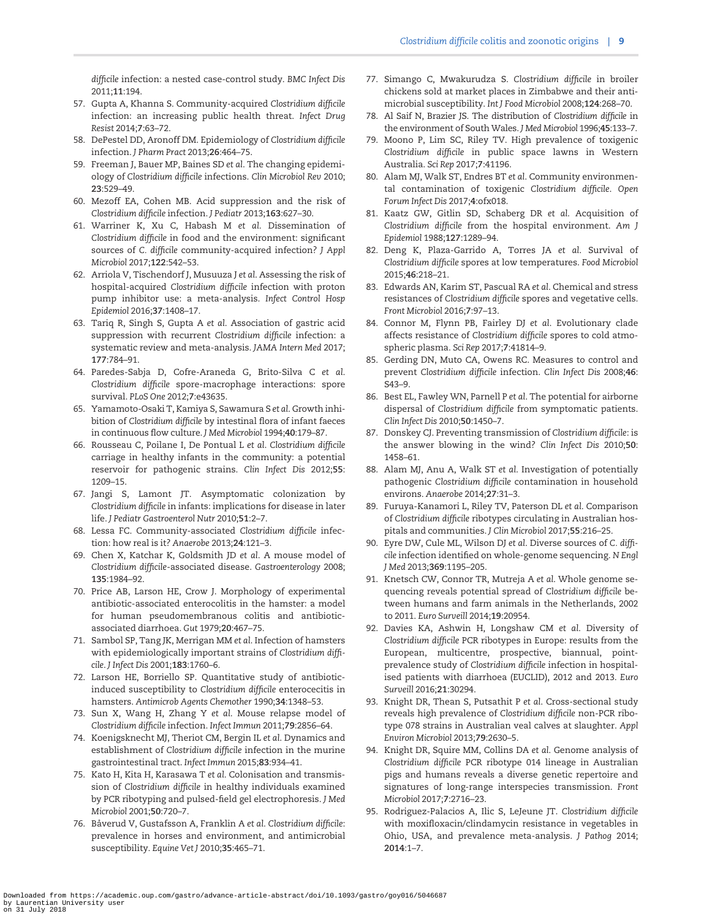<span id="page-8-0"></span>difficile infection: a nested case-control study. BMC Infect Dis 2011;11:194.

- [57](#page-2-0). Gupta A, Khanna S. Community-acquired Clostridium difficile infection: an increasing public health threat. Infect Drug Resist 2014;7:63–72.
- [58](#page-2-0). DePestel DD, Aronoff DM. Epidemiology of Clostridium difficile infection. J Pharm Pract 2013;26:464–75.
- [59](#page-2-0). Freeman J, Bauer MP, Baines SD et al. The changing epidemiology of Clostridium difficile infections. Clin Microbiol Rev 2010; 23:529–49.
- [60](#page-2-0). Mezoff EA, Cohen MB. Acid suppression and the risk of Clostridium difficile infection. J Pediatr 2013;163:627–30.
- [61](#page-2-0). Warriner K, Xu C, Habash M et al. Dissemination of Clostridium difficile in food and the environment: significant sources of C. difficile community-acquired infection? J Appl Microbiol 2017;122:542–53.
- 62. Arriola V, Tischendorf J, Musuuza J et al. Assessing the risk of hospital-acquired Clostridium difficile infection with proton pump inhibitor use: a meta-analysis. Infect Control Hosp Epidemiol 2016;37:1408–17.
- 63. Tariq R, Singh S, Gupta A et al. Association of gastric acid suppression with recurrent Clostridium difficile infection: a systematic review and meta-analysis. JAMA Intern Med 2017; 177:784–91.
- [64](#page-2-0). Paredes-Sabja D, Cofre-Araneda G, Brito-Silva C et al. Clostridium difficile spore-macrophage interactions: spore survival. PLoS One 2012;7:e43635.
- [65](#page-2-0). Yamamoto-Osaki T, Kamiya S, Sawamura S et al. Growth inhibition of Clostridium difficile by intestinal flora of infant faeces in continuous flow culture. J Med Microbiol 1994;40:179–87.
- [66](#page-2-0). Rousseau C, Poilane I, De Pontual L et al. Clostridium difficile carriage in healthy infants in the community: a potential reservoir for pathogenic strains. Clin Infect Dis 2012;55: 1209–15.
- [67](#page-2-0). Jangi S, Lamont JT. Asymptomatic colonization by Clostridium difficile in infants: implications for disease in later life. J Pediatr Gastroenterol Nutr 2010;51:2–7.
- [68](#page-2-0). Lessa FC. Community-associated Clostridium difficile infection: how real is it? Anaerobe 2013;24:121–3.
- [69](#page-3-0). Chen X, Katchar K, Goldsmith JD et al. A mouse model of Clostridium difficile-associated disease. Gastroenterology 2008; 135:1984–92.
- [70](#page-3-0). Price AB, Larson HE, Crow J. Morphology of experimental antibiotic-associated enterocolitis in the hamster: a model for human pseudomembranous colitis and antibioticassociated diarrhoea. Gut 1979;20:467–75.
- [71](#page-3-0). Sambol SP, Tang JK, Merrigan MM et al. Infection of hamsters with epidemiologically important strains of Clostridium difficile. J Infect Dis 2001;183:1760–6.
- [72](#page-3-0). Larson HE, Borriello SP. Quantitative study of antibioticinduced susceptibility to Clostridium difficile enterocecitis in hamsters. Antimicrob Agents Chemother 1990;34:1348–53.
- [73](#page-3-0). Sun X, Wang H, Zhang Y et al. Mouse relapse model of Clostridium difficile infection. Infect Immun 2011;79:2856–64.
- [74](#page-3-0). Koenigsknecht MJ, Theriot CM, Bergin IL et al. Dynamics and establishment of Clostridium difficile infection in the murine gastrointestinal tract. Infect Immun 2015;83:934–41.
- [75](#page-3-0). Kato H, Kita H, Karasawa T et al. Colonisation and transmission of Clostridium difficile in healthy individuals examined by PCR ribotyping and pulsed-field gel electrophoresis. J Med Microbiol 2001;50:720–7.
- [76](#page-3-0). Båverud V, Gustafsson A, Franklin A et al. Clostridium difficile: prevalence in horses and environment, and antimicrobial susceptibility. Equine Vet J 2010;35:465–71.
- [77](#page-3-0). Simango C, Mwakurudza S. Clostridium difficile in broiler chickens sold at market places in Zimbabwe and their antimicrobial susceptibility. Int J Food Microbiol 2008;124:268–70.
- [78](#page-3-0). Al Saif N, Brazier JS. The distribution of Clostridium difficile in the environment of South Wales. J Med Microbiol 1996;45:133–7.
- [79](#page-3-0). Moono P, Lim SC, Riley TV. High prevalence of toxigenic Clostridium difficile in public space lawns in Western Australia. Sci Rep 2017;7:41196.
- [80](#page-4-0). Alam MJ, Walk ST, Endres BT et al. Community environmental contamination of toxigenic Clostridium difficile. Open Forum Infect Dis 2017;4:ofx018.
- [81](#page-4-0). Kaatz GW, Gitlin SD, Schaberg DR et al. Acquisition of Clostridium difficile from the hospital environment. Am J Epidemiol 1988;127:1289–94.
- [82](#page-5-0). Deng K, Plaza-Garrido A, Torres JA et al. Survival of Clostridium difficile spores at low temperatures. Food Microbiol 2015;46:218–21.
- 83. Edwards AN, Karim ST, Pascual RA et al. Chemical and stress resistances of Clostridium difficile spores and vegetative cells. Front Microbiol 2016;7:97–13.
- 84. Connor M, Flynn PB, Fairley DJ et al. Evolutionary clade affects resistance of Clostridium difficile spores to cold atmospheric plasma. Sci Rep 2017;7:41814–9.
- 85. Gerding DN, Muto CA, Owens RC. Measures to control and prevent Clostridium difficile infection. Clin Infect Dis 2008;46: S43–9.
- 86. Best EL, Fawley WN, Parnell P et al. The potential for airborne dispersal of Clostridium difficile from symptomatic patients. Clin Infect Dis 2010;50:1450–7.
- 87. Donskey CJ. Preventing transmission of Clostridium difficile: is the answer blowing in the wind? Clin Infect Dis 2010;50: 1458–61.
- [88](#page-4-0). Alam MJ, Anu A, Walk ST et al. Investigation of potentially pathogenic Clostridium difficile contamination in household environs. Anaerobe 2014;27:31–3.
- [89](#page-4-0). Furuya-Kanamori L, Riley TV, Paterson DL et al. Comparison of Clostridium difficile ribotypes circulating in Australian hospitals and communities. J Clin Microbiol 2017;55:216–25.
- [90](#page-4-0). Eyre DW, Cule ML, Wilson DJ et al. Diverse sources of C. difficile infection identified on whole-genome sequencing. N Engl J Med 2013;369:1195–205.
- [91](#page-4-0). Knetsch CW, Connor TR, Mutreja A et al. Whole genome sequencing reveals potential spread of Clostridium difficile between humans and farm animals in the Netherlands, 2002 to 2011. Euro Surveill 2014;19:20954.
- [92](#page-4-0). Davies KA, Ashwin H, Longshaw CM et al. Diversity of Clostridium difficile PCR ribotypes in Europe: results from the European, multicentre, prospective, biannual, pointprevalence study of Clostridium difficile infection in hospitalised patients with diarrhoea (EUCLID), 2012 and 2013. Euro Surveill 2016;21:30294.
- [93](#page-4-0). Knight DR, Thean S, Putsathit P et al. Cross-sectional study reveals high prevalence of Clostridium difficile non-PCR ribotype 078 strains in Australian veal calves at slaughter. Appl Environ Microbiol 2013;79:2630–5.
- [94](#page-4-0). Knight DR, Squire MM, Collins DA et al. Genome analysis of Clostridium difficile PCR ribotype 014 lineage in Australian pigs and humans reveals a diverse genetic repertoire and signatures of long-range interspecies transmission. Front Microbiol 2017;7:2716–23.
- [95](#page-4-0). Rodriguez-Palacios A, Ilic S, LeJeune JT. Clostridium difficile with moxifloxacin/clindamycin resistance in vegetables in Ohio, USA, and prevalence meta-analysis. J Pathog 2014; 2014:1–7.